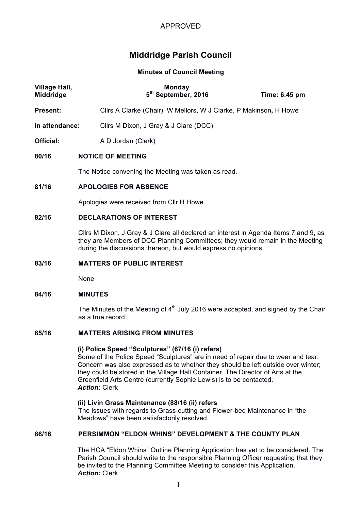# APPROVED

# **Middridge Parish Council**

## **Minutes of Council Meeting**

| Village Hall,<br><b>Middridge</b> | Monday<br>5 <sup>th</sup> September, 2016                         | Time: 6.45 pm |  |
|-----------------------------------|-------------------------------------------------------------------|---------------|--|
| Present:                          | Cllrs A Clarke (Chair), W Mellors, W J Clarke, P Makinson, H Howe |               |  |
| In attendance:                    | Cllrs M Dixon, J Gray & J Clare (DCC)                             |               |  |
| Official:                         | A D Jordan (Clerk)                                                |               |  |
| 80/16                             | <b>NOTICE OF MEETING</b>                                          |               |  |
|                                   | The Notice convening the Meeting was taken as read.               |               |  |
| 81/16                             | <b>APOLOGIES FOR ABSENCE</b>                                      |               |  |
|                                   | Apologies were received from Cllr H Howe.                         |               |  |
| 82/16                             | <b>DECLARATIONS OF INTEREST</b>                                   |               |  |
|                                   |                                                                   |               |  |

Cllrs M Dixon, J Gray & J Clare all declared an interest in Agenda Items 7 and 9, as they are Members of DCC Planning Committees; they would remain in the Meeting during the discussions thereon, but would express no opinions.

#### **83/16 MATTERS OF PUBLIC INTEREST**

None

#### **84/16 MINUTES**

The Minutes of the Meeting of  $4<sup>th</sup>$  July 2016 were accepted, and signed by the Chair as a true record.

#### **85/16 MATTERS ARISING FROM MINUTES**

#### **(i) Police Speed "Sculptures" (67/16 (i) refers)**

Some of the Police Speed "Sculptures" are in need of repair due to wear and tear. Concern was also expressed as to whether they should be left outside over winter; they could be stored in the Village Hall Container. The Director of Arts at the Greenfield Arts Centre (currently Sophie Lewis) is to be contacted. *Action:* Clerk

#### **(ii) Livin Grass Maintenance (88/16 (ii) refers**

The issues with regards to Grass-cutting and Flower-bed Maintenance in "the Meadows" have been satisfactorily resolved.

#### **86/16 PERSIMMON "ELDON WHINS" DEVELOPMENT & THE COUNTY PLAN**

The HCA "Eldon Whins" Outline Planning Application has yet to be considered. The Parish Council should write to the responsible Planning Officer requesting that they be invited to the Planning Committee Meeting to consider this Application. *Action:* Clerk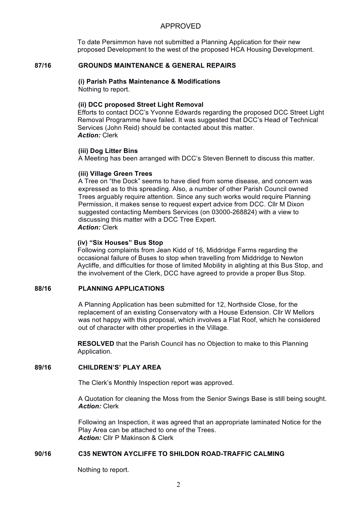# APPROVED

To date Persimmon have not submitted a Planning Application for their new proposed Development to the west of the proposed HCA Housing Development.

## **87/16 GROUNDS MAINTENANCE & GENERAL REPAIRS**

#### **(i) Parish Paths Maintenance & Modifications**

Nothing to report.

#### **(ii) DCC proposed Street Light Removal**

Efforts to contact DCC's Yvonne Edwards regarding the proposed DCC Street Light Removal Programme have failed. It was suggested that DCC's Head of Technical Services (John Reid) should be contacted about this matter. *Action:* Clerk

#### **(iii) Dog Litter Bins**

A Meeting has been arranged with DCC's Steven Bennett to discuss this matter.

#### **(iii) Village Green Trees**

A Tree on "the Dock" seems to have died from some disease, and concern was expressed as to this spreading. Also, a number of other Parish Council owned Trees arguably require attention. Since any such works would require Planning Permission, it makes sense to request expert advice from DCC. Cllr M Dixon suggested contacting Members Services (on 03000-268824) with a view to discussing this matter with a DCC Tree Expert. *Action:* Clerk

#### **(iv) "Six Houses" Bus Stop**

Following complaints from Jean Kidd of 16, Middridge Farms regarding the occasional failure of Buses to stop when travelling from Middridge to Newton Aycliffe, and difficulties for those of limited Mobility in alighting at this Bus Stop, and the involvement of the Clerk, DCC have agreed to provide a proper Bus Stop.

## **88/16 PLANNING APPLICATIONS**

A Planning Application has been submitted for 12, Northside Close, for the replacement of an existing Conservatory with a House Extension. Cllr W Mellors was not happy with this proposal, which involves a Flat Roof, which he considered out of character with other properties in the Village.

**RESOLVED** that the Parish Council has no Objection to make to this Planning Application.

#### **89/16 CHILDREN'S' PLAY AREA**

The Clerk's Monthly Inspection report was approved.

A Quotation for cleaning the Moss from the Senior Swings Base is still being sought. *Action:* Clerk

Following an Inspection, it was agreed that an appropriate laminated Notice for the Play Area can be attached to one of the Trees. *Action:* Cllr P Makinson & Clerk

# **90/16 C35 NEWTON AYCLIFFE TO SHILDON ROAD-TRAFFIC CALMING**

Nothing to report.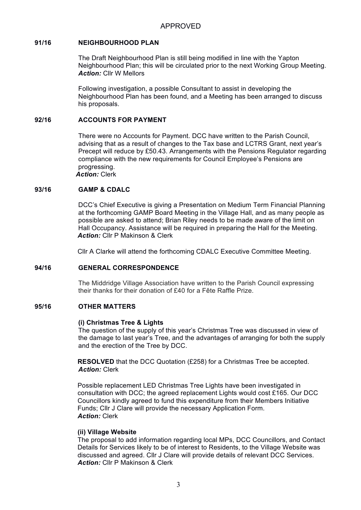# **91/16 NEIGHBOURHOOD PLAN**

The Draft Neighbourhood Plan is still being modified in line with the Yapton Neighbourhood Plan; this will be circulated prior to the next Working Group Meeting. *Action:* Cllr W Mellors

Following investigation, a possible Consultant to assist in developing the Neighbourhood Plan has been found, and a Meeting has been arranged to discuss his proposals.

#### **92/16 ACCOUNTS FOR PAYMENT**

There were no Accounts for Payment. DCC have written to the Parish Council, advising that as a result of changes to the Tax base and LCTRS Grant, next year's Precept will reduce by £50.43. Arrangements with the Pensions Regulator regarding compliance with the new requirements for Council Employee's Pensions are progressing. *Action:* Clerk

# **93/16 GAMP & CDALC**

DCC's Chief Executive is giving a Presentation on Medium Term Financial Planning at the forthcoming GAMP Board Meeting in the Village Hall, and as many people as possible are asked to attend; Brian Riley needs to be made aware of the limit on Hall Occupancy. Assistance will be required in preparing the Hall for the Meeting. *Action:* Cllr P Makinson & Clerk

Cllr A Clarke will attend the forthcoming CDALC Executive Committee Meeting.

#### **94/16 GENERAL CORRESPONDENCE**

The Middridge Village Association have written to the Parish Council expressing their thanks for their donation of £40 for a Fête Raffle Prize.

#### **95/16 OTHER MATTERS**

#### **(i) Christmas Tree & Lights**

The question of the supply of this year's Christmas Tree was discussed in view of the damage to last year's Tree, and the advantages of arranging for both the supply and the erection of the Tree by DCC.

**RESOLVED** that the DCC Quotation (£258) for a Christmas Tree be accepted. *Action:* Clerk

Possible replacement LED Christmas Tree Lights have been investigated in consultation with DCC; the agreed replacement Lights would cost £165. Our DCC Councillors kindly agreed to fund this expenditure from their Members Initiative Funds; Cllr J Clare will provide the necessary Application Form. *Action:* Clerk

#### **(ii) Village Website**

The proposal to add information regarding local MPs, DCC Councillors, and Contact Details for Services likely to be of interest to Residents, to the Village Website was discussed and agreed. Cllr J Clare will provide details of relevant DCC Services. *Action:* Cllr P Makinson & Clerk